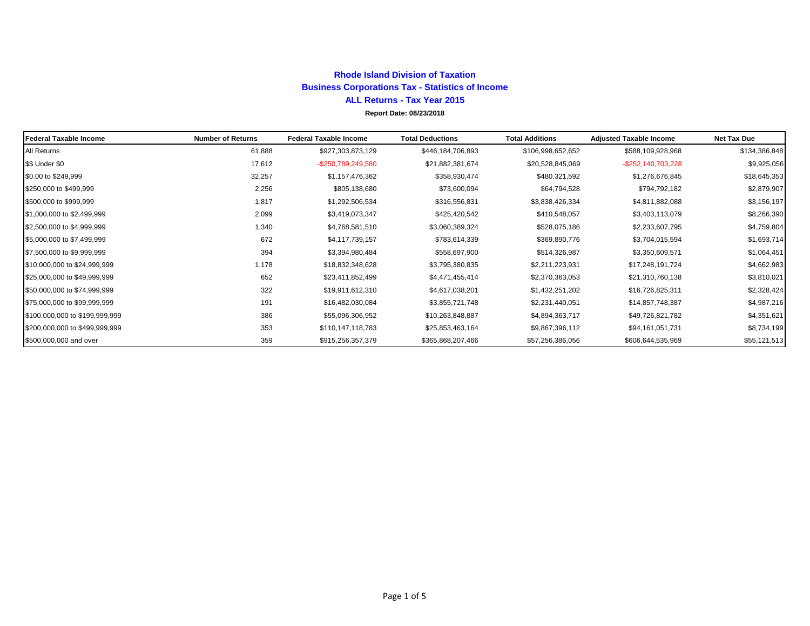## **Rhode Island Division of Taxation Business Corporations Tax - Statistics of Income ALL Returns - Tax Year 2015 Report Date: 08/23/2018**

| <b>Federal Taxable Income</b>  | <b>Number of Returns</b> | <b>Federal Taxable Income</b> | <b>Total Deductions</b> | <b>Total Additions</b> | <b>Adjusted Taxable Income</b> | <b>Net Tax Due</b> |
|--------------------------------|--------------------------|-------------------------------|-------------------------|------------------------|--------------------------------|--------------------|
| All Returns                    | 61,888                   | \$927,303,873,129             | \$446,184,706,893       | \$106,998,652,652      | \$588,109,928,968              | \$134,386,848      |
| \$\$ Under \$0                 | 17,612                   | -\$250,789,249,580            | \$21,882,381,674        | \$20,528,845,069       | -\$252,140,703,228             | \$9,925,056        |
| \$0.00 to \$249,999            | 32,257                   | \$1,157,476,362               | \$358,930,474           | \$480,321,592          | \$1,276,676,845                | \$18,645,353       |
| \$250,000 to \$499,999         | 2,256                    | \$805,138,680                 | \$73,600,094            | \$64,794,528           | \$794,792,182                  | \$2,879,907        |
| \$500,000 to \$999,999         | 1,817                    | \$1,292,506,534               | \$316,556,831           | \$3,838,426,334        | \$4,811,882,088                | \$3,156,197        |
| \$1,000,000 to \$2,499,999     | 2,099                    | \$3,419,073,347               | \$425,420,542           | \$410,548,057          | \$3,403,113,079                | \$8,266,390        |
| \$2,500,000 to \$4,999,999     | 1,340                    | \$4,768,581,510               | \$3,060,389,324         | \$528,075,186          | \$2,233,607,795                | \$4,759,804        |
| \$5,000,000 to \$7,499,999     | 672                      | \$4,117,739,157               | \$783,614,339           | \$369,890,776          | \$3,704,015,594                | \$1,693,714        |
| \$7,500,000 to \$9,999,999     | 394                      | \$3,394,980,484               | \$558,697,900           | \$514,326,987          | \$3,350,609,571                | \$1,064,451        |
| \$10,000,000 to \$24,999,999   | 1,178                    | \$18,832,348,628              | \$3,795,380,835         | \$2,211,223,931        | \$17,248,191,724               | \$4,662,983        |
| \$25,000,000 to \$49,999,999   | 652                      | \$23,411,852,499              | \$4,471,455,414         | \$2,370,363,053        | \$21,310,760,138               | \$3,810,021        |
| \$50,000,000 to \$74,999,999   | 322                      | \$19,911,612,310              | \$4,617,038,201         | \$1,432,251,202        | \$16,726,825,311               | \$2,328,424        |
| \$75,000,000 to \$99,999,999   | 191                      | \$16,482,030,084              | \$3,855,721,748         | \$2,231,440,051        | \$14,857,748,387               | \$4,987,216        |
| \$100,000,000 to \$199,999,999 | 386                      | \$55,096,306,952              | \$10,263,848,887        | \$4,894,363,717        | \$49,726,821,782               | \$4,351,621        |
| \$200,000,000 to \$499,999,999 | 353                      | \$110,147,118,783             | \$25,853,463,164        | \$9,867,396,112        | \$94,161,051,731               | \$8,734,199        |
| \$500,000,000 and over         | 359                      | \$915,256,357,379             | \$365,868,207,466       | \$57,256,386,056       | \$606,644,535,969              | \$55,121,513       |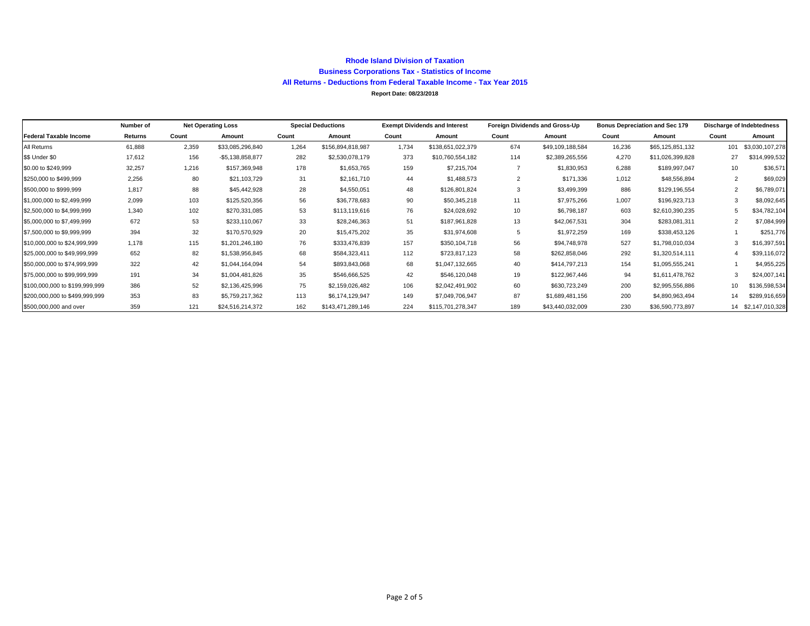#### **Rhode Island Division of Taxation Business Corporations Tax - Statistics of Income All Returns - Deductions from Federal Taxable Income - Tax Year 2015 Report Date: 08/23/2018**

|                                | Number of | <b>Net Operating Loss</b> |                   | <b>Special Deductions</b> |                   | <b>Exempt Dividends and Interest</b> |                   | Foreign Dividends and Gross-Up |                  | <b>Bonus Depreciation and Sec 179</b> |                  | Discharge of Indebtedness |                    |
|--------------------------------|-----------|---------------------------|-------------------|---------------------------|-------------------|--------------------------------------|-------------------|--------------------------------|------------------|---------------------------------------|------------------|---------------------------|--------------------|
| <b>Federal Taxable Income</b>  | Returns   | Count                     | Amount            | Count                     | Amount            | Count                                | Amount            | Count                          | Amount           | Count                                 | Amount           | Count                     | Amount             |
| All Returns                    | 61,888    | 2,359                     | \$33,085,296,840  | 1,264                     | \$156,894,818,987 | 1,734                                | \$138,651,022,379 | 674                            | \$49,109,188,584 | 16,236                                | \$65,125,851,132 | 101                       | \$3,030,107,278    |
| \$\$ Under \$0                 | 17,612    | 156                       | $-$5,138,858,877$ | 282                       | \$2,530,078,179   | 373                                  | \$10,760,554,182  | 114                            | \$2,389,265,556  | 4.270                                 | \$11,026,399,828 |                           | \$314,999,532      |
| \$0.00 to \$249,999            | 32,257    | 1,216                     | \$157,369,948     | 178                       | \$1,653,765       | 159                                  | \$7,215,704       |                                | \$1,830,953      | 6.288                                 | \$189,997,047    | 10                        | \$36,571           |
| \$250,000 to \$499,999         | 2,256     | 80                        | \$21,103,729      | 31                        | \$2,161,710       | 44                                   | \$1,488,573       | 2                              | \$171,336        | 1,012                                 | \$48,556,894     | $\overline{2}$            | \$69,029           |
| \$500,000 to \$999,999         | 1,817     | 88                        | \$45,442,928      | 28                        | \$4,550,051       | 48                                   | \$126,801,824     | 3                              | \$3,499,399      | 886                                   | \$129,196,554    | 2                         | \$6,789,071        |
| \$1,000,000 to \$2,499,999     | 2,099     | 103                       | \$125,520,356     | 56                        | \$36,778,683      | 90                                   | \$50,345,218      | 11                             | \$7,975,266      | 1,007                                 | \$196,923,713    |                           | \$8,092,645        |
| \$2,500,000 to \$4,999,999     | 1,340     | 102                       | \$270,331,085     | 53                        | \$113,119,616     | 76                                   | \$24,028,692      | 10                             | \$6,798,187      | 603                                   | \$2,610,390,235  |                           | \$34,782,104       |
| \$5,000,000 to \$7,499,999     | 672       | 53                        | \$233,110,067     | 33                        | \$28,246,363      | 51                                   | \$187,961,828     | 13                             | \$42,067,531     | 304                                   | \$283,081,311    |                           | \$7,084,999        |
| \$7,500,000 to \$9,999,999     | 394       | 32                        | \$170,570,929     | 20                        | \$15,475,202      | 35                                   | \$31,974,608      | 5                              | \$1,972,259      | 169                                   | \$338,453,126    |                           | \$251,776          |
| \$10,000,000 to \$24,999,999   | 1.178     | 115                       | \$1,201,246,180   | 76                        | \$333,476,839     | 157                                  | \$350,104,718     | 56                             | \$94,748,978     | 527                                   | \$1,798,010,034  |                           | \$16,397,591       |
| \$25,000,000 to \$49,999,999   | 652       | 82                        | \$1,538,956,845   | 68                        | \$584,323,411     | 112                                  | \$723,817,123     | 58                             | \$262,858,046    | 292                                   | \$1,320,514,111  |                           | \$39,116,072       |
| \$50,000,000 to \$74,999,999   | 322       | 42                        | \$1,044,164,094   | 54                        | \$893,843,068     | 68                                   | \$1,047,132,665   | 40                             | \$414,797,213    | 154                                   | \$1,095,555,241  |                           | \$4,955,225        |
| \$75,000,000 to \$99,999,999   | 191       | 34                        | \$1,004,481,826   | 35                        | \$546,666,525     | 42                                   | \$546,120,048     | 19                             | \$122,967,446    | 94                                    | \$1,611,478,762  |                           | \$24,007,141       |
| \$100,000,000 to \$199,999,999 | 386       | 52                        | \$2,136,425,996   | 75                        | \$2,159,026,482   | 106                                  | \$2,042,491,902   | 60                             | \$630,723,249    | 200                                   | \$2,995,556,886  | 10                        | \$136,598,534      |
| \$200,000,000 to \$499,999.999 | 353       | 83                        | \$5,759,217,362   | 113                       | \$6,174,129,947   | 149                                  | \$7,049,706,947   | 87                             | \$1,689,481,156  | 200                                   | \$4,890,963,494  | 14                        | \$289,916,659      |
| \$500,000,000 and over         | 359       | 121                       | \$24,516,214,372  | 162                       | \$143,471,289,146 | 224                                  | \$115,701,278,347 | 189                            | \$43,440,032,009 | 230                                   | \$36,590,773,897 |                           | 14 \$2,147,010,328 |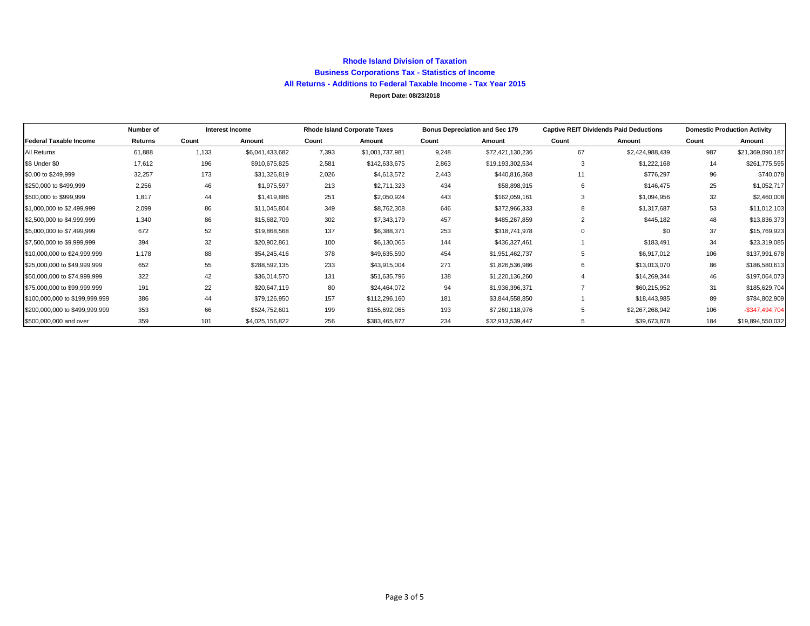### **Rhode Island Division of Taxation Business Corporations Tax - Statistics of Income All Returns - Additions to Federal Taxable Income - Tax Year 2015**

#### **Report Date: 08/23/2018**

|                                | Number of |       | Interest Income |       | <b>Rhode Island Corporate Taxes</b> | <b>Bonus Depreciation and Sec 179</b> |                  | <b>Captive REIT Dividends Paid Deductions</b> |                 | <b>Domestic Production Activity</b> |                  |
|--------------------------------|-----------|-------|-----------------|-------|-------------------------------------|---------------------------------------|------------------|-----------------------------------------------|-----------------|-------------------------------------|------------------|
| <b>Federal Taxable Income</b>  | Returns   | Count | Amount          | Count | Amount                              | Count                                 | Amount           | Count                                         | Amount          | Count                               | Amount           |
| All Returns                    | 61,888    | 1,133 | \$6,041,433,682 | 7,393 | \$1,001,737,981                     | 9,248                                 | \$72,421,130,236 | 67                                            | \$2,424,988,439 | 987                                 | \$21,369,090,187 |
| \$\$ Under \$0                 | 17,612    | 196   | \$910,675,825   | 2,581 | \$142,633,675                       | 2,863                                 | \$19,193,302,534 | 3                                             | \$1,222,168     | 14                                  | \$261,775,595    |
| \$0.00 to \$249,999            | 32,257    | 173   | \$31,326,819    | 2,026 | \$4,613,572                         | 2,443                                 | \$440,816,368    | 11                                            | \$776,297       | 96                                  | \$740,078        |
| \$250,000 to \$499,999         | 2,256     | 46    | \$1,975,597     | 213   | \$2,711,323                         | 434                                   | \$58,898,915     | 6                                             | \$146,475       | 25                                  | \$1,052,717      |
| \$500,000 to \$999,999         | 1.817     | 44    | \$1,419,886     | 251   | \$2,050,924                         | 443                                   | \$162,059,161    |                                               | \$1,094,956     | 32                                  | \$2,460,008      |
| \$1,000,000 to \$2,499,999     | 2,099     | 86    | \$11,045,804    | 349   | \$8,762,308                         | 646                                   | \$372,966,333    |                                               | \$1,317,687     | 53                                  | \$11,012,103     |
| \$2,500,000 to \$4,999,999     | 1,340     | 86    | \$15,682,709    | 302   | \$7,343,179                         | 457                                   | \$485,267,859    |                                               | \$445,182       | 48                                  | \$13,836,373     |
| \$5,000,000 to \$7,499,999     | 672       | 52    | \$19,868,568    | 137   | \$6,388,371                         | 253                                   | \$318,741,978    |                                               | \$0             | 37                                  | \$15,769,923     |
| \$7,500,000 to \$9,999,999     | 394       | 32    | \$20,902,861    | 100   | \$6,130,065                         | 144                                   | \$436,327,461    |                                               | \$183,491       | 34                                  | \$23,319,085     |
| \$10,000,000 to \$24,999,999   | 1,178     | 88    | \$54,245,416    | 378   | \$49,635,590                        | 454                                   | \$1,951,462,737  | 5                                             | \$6,917,012     | 106                                 | \$137,991,678    |
| \$25,000,000 to \$49,999,999   | 652       | 55    | \$288,592,135   | 233   | \$43,915,004                        | 271                                   | \$1,826,536,986  | 6                                             | \$13,013,070    | 86                                  | \$186,580,613    |
| \$50,000,000 to \$74,999,999   | 322       | 42    | \$36,014,570    | 131   | \$51,635,796                        | 138                                   | \$1,220,136,260  |                                               | \$14,269,344    | 46                                  | \$197,064,073    |
| \$75,000,000 to \$99,999,999   | 191       | 22    | \$20,647,119    | 80    | \$24,464,072                        | 94                                    | \$1,936,396,371  |                                               | \$60,215,952    | 31                                  | \$185,629,704    |
| \$100,000,000 to \$199,999,999 | 386       | 44    | \$79,126,950    | 157   | \$112,296,160                       | 181                                   | \$3,844,558,850  |                                               | \$18,443,985    | 89                                  | \$784,802,909    |
| \$200,000,000 to \$499,999,999 | 353       | 66    | \$524,752,601   | 199   | \$155,692,065                       | 193                                   | \$7,260,118,976  |                                               | \$2,267,268,942 | 106                                 | $-$347,494,704$  |
| \$500,000,000 and over         | 359       | 101   | \$4,025,156,822 | 256   | \$383,465,877                       | 234                                   | \$32,913,539,447 | 5                                             | \$39,673,878    | 184                                 | \$19,894,550,032 |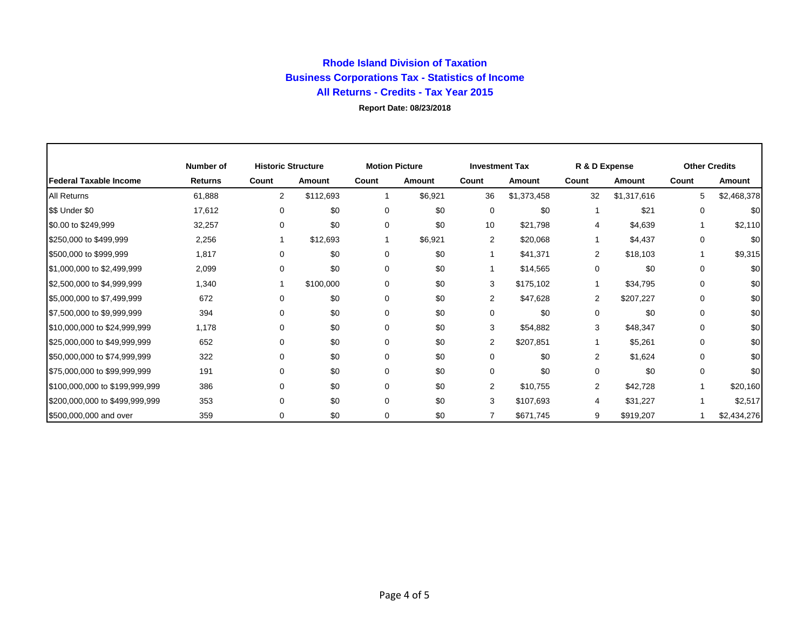## **Rhode Island Division of Taxation Business Corporations Tax - Statistics of Income All Returns - Credits - Tax Year 2015 Report Date: 08/23/2018**

|                                | Number of      | <b>Historic Structure</b> |               | <b>Motion Picture</b> |               | <b>Investment Tax</b> |               | R & D Expense  |             | <b>Other Credits</b> |             |
|--------------------------------|----------------|---------------------------|---------------|-----------------------|---------------|-----------------------|---------------|----------------|-------------|----------------------|-------------|
| Federal Taxable Income         | <b>Returns</b> | Count                     | <b>Amount</b> | Count                 | <b>Amount</b> | Count                 | <b>Amount</b> | Count          | Amount      | Count                | Amount      |
| <b>All Returns</b>             | 61,888         | $\overline{2}$            | \$112,693     |                       | \$6,921       | 36                    | \$1,373,458   | 32             | \$1,317,616 | 5                    | \$2,468,378 |
| \$\$ Under \$0                 | 17,612         | 0                         | \$0           | $\Omega$              | \$0           | 0                     | \$0           |                | \$21        | $\Omega$             | \$0         |
| \$0.00 to \$249,999            | 32,257         | 0                         | \$0           | $\Omega$              | \$0           | 10                    | \$21,798      | 4              | \$4,639     |                      | \$2,110     |
| \$250,000 to \$499,999         | 2,256          |                           | \$12,693      |                       | \$6,921       | 2                     | \$20,068      |                | \$4,437     | 0                    | \$0         |
| \$500,000 to \$999,999         | 1,817          | 0                         | \$0           | 0                     | \$0           |                       | \$41,371      | 2              | \$18,103    |                      | \$9,315     |
| \$1,000,000 to \$2,499,999     | 2,099          | 0                         | \$0           | 0                     | \$0           |                       | \$14,565      | 0              | \$0         | 0                    | \$0         |
| \$2,500,000 to \$4,999,999     | 1,340          |                           | \$100,000     | $\Omega$              | \$0           | 3                     | \$175,102     | -1             | \$34,795    | 0                    | \$0         |
| \$5,000,000 to \$7,499,999     | 672            | $\Omega$                  | \$0           | $\Omega$              | \$0           | 2                     | \$47,628      | $\overline{2}$ | \$207,227   | 0                    | \$0         |
| \$7,500,000 to \$9,999,999     | 394            | $\Omega$                  | \$0           | $\Omega$              | \$0           | 0                     | \$0           | 0              | \$0         | 0                    | \$0         |
| \$10,000,000 to \$24,999,999   | 1,178          | $\Omega$                  | \$0           | $\Omega$              | \$0           | 3                     | \$54,882      | 3              | \$48,347    | $\Omega$             | \$0         |
| \$25,000,000 to \$49,999,999   | 652            | $\Omega$                  | \$0           | $\Omega$              | \$0           | $\overline{2}$        | \$207,851     |                | \$5,261     | $\Omega$             | \$0         |
| \$50,000,000 to \$74,999,999   | 322            | $\Omega$                  | \$0           | $\Omega$              | \$0           | $\Omega$              | \$0           | $\overline{2}$ | \$1,624     | $\Omega$             | \$0         |
| \$75,000,000 to \$99,999,999   | 191            | $\Omega$                  | \$0           | $\Omega$              | \$0           | $\Omega$              | \$0           | $\Omega$       | \$0         | $\Omega$             | \$0         |
| \$100,000,000 to \$199,999,999 | 386            | $\Omega$                  | \$0           | $\Omega$              | \$0           | 2                     | \$10,755      | $\overline{2}$ | \$42,728    |                      | \$20,160    |
| \$200,000,000 to \$499,999,999 | 353            | $\Omega$                  | \$0           | $\Omega$              | \$0           | 3                     | \$107,693     | 4              | \$31,227    |                      | \$2,517     |
| \$500,000,000 and over         | 359            | 0                         | \$0           | 0                     | \$0           |                       | \$671,745     | 9              | \$919,207   |                      | \$2,434,276 |